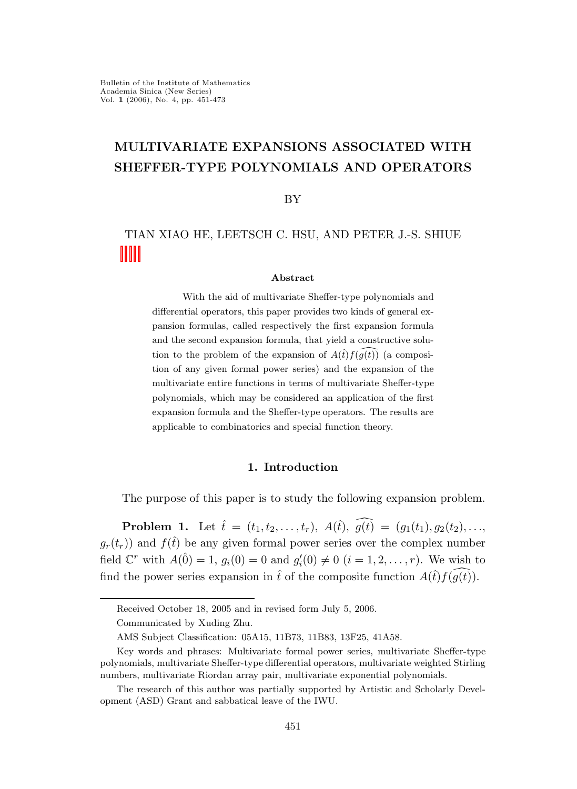# MULTIVARIATE EXPANSIONS ASSOCIATED WITH SHEFFER-TYPE POLYNOMIALS AND OPERATORS

BY

TIAN XIAO HE, LEETSCH C. HSU, AND PETER J.-S. SHIUE

#### Abstract

With the aid of multivariate Sheffer-type polynomials and differential operators, this paper provides two kinds of general expansion formulas, called respectively the first expansion formula and the second expansion formula, that yield a constructive solution to the problem of the expansion of  $A(\hat{t})f(q(t))$  (a composition of any given formal power series) and the expansion of the multivariate entire functions in terms of multivariate Sheffer-type polynomials, which may be considered an application of the first expansion formula and the Sheffer-type operators. The results are applicable to combinatorics and special function theory.

### 1. Introduction

The purpose of this paper is to study the following expansion problem.

**Problem 1.** Let  $\hat{t} = (t_1, t_2, \ldots, t_r), A(\hat{t}), \widehat{g(t)} = (g_1(t_1), g_2(t_2), \ldots,$  $g_r(t_r)$  and  $f(\hat{t})$  be any given formal power series over the complex number field  $\mathbb{C}^r$  with  $A(\hat{0}) = 1$ ,  $g_i(0) = 0$  and  $g'_i(0) \neq 0$   $(i = 1, 2, ..., r)$ . We wish to find the power series expansion in  $\hat{t}$  of the composite function  $A(\hat{t})f(\hat{g}(\hat{t}))$ .

Received October 18, 2005 and in revised form July 5, 2006.

Communicated by Xuding Zhu.

AMS Subject Classification: 05A15, 11B73, 11B83, 13F25, 41A58.

Key words and phrases: Multivariate formal power series, multivariate Sheffer-type polynomials, multivariate Sheffer-type differential operators, multivariate weighted Stirling numbers, multivariate Riordan array pair, multivariate exponential polynomials.

The research of this author was partially supported by Artistic and Scholarly Development (ASD) Grant and sabbatical leave of the IWU.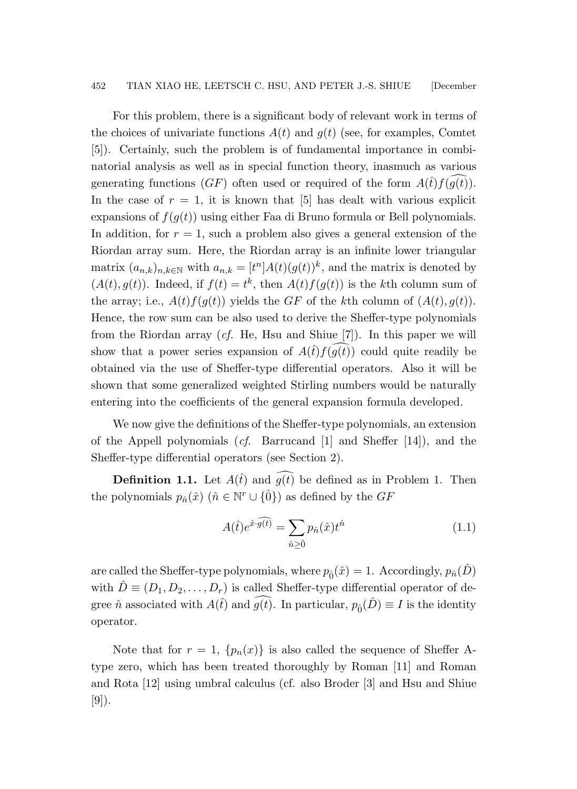For this problem, there is a significant body of relevant work in terms of the choices of univariate functions  $A(t)$  and  $g(t)$  (see, for examples, Comtet [5]). Certainly, such the problem is of fundamental importance in combinatorial analysis as well as in special function theory, inasmuch as various generating functions  $(GF)$  often used or required of the form  $A(\hat{t})f(g(t))$ . In the case of  $r = 1$ , it is known that [5] has dealt with various explicit expansions of  $f(g(t))$  using either Faa di Bruno formula or Bell polynomials. In addition, for  $r = 1$ , such a problem also gives a general extension of the Riordan array sum. Here, the Riordan array is an infinite lower triangular matrix  $(a_{n,k})_{n,k\in\mathbb{N}}$  with  $a_{n,k} = [t^n]A(t)(g(t))^k$ , and the matrix is denoted by  $(A(t), g(t))$ . Indeed, if  $f(t) = t^k$ , then  $A(t) f(g(t))$  is the kth column sum of the array; i.e.,  $A(t)f(g(t))$  yields the GF of the kth column of  $(A(t), g(t))$ . Hence, the row sum can be also used to derive the Sheffer-type polynomials from the Riordan array (cf. He, Hsu and Shiue [7]). In this paper we will show that a power series expansion of  $A(\hat{t})f(g(t))$  could quite readily be obtained via the use of Sheffer-type differential operators. Also it will be shown that some generalized weighted Stirling numbers would be naturally entering into the coefficients of the general expansion formula developed.

We now give the definitions of the Sheffer-type polynomials, an extension of the Appell polynomials  $(cf.$  Barrucand [1] and Sheffer [14]), and the Sheffer-type differential operators (see Section 2).

**Definition 1.1.** Let  $A(\hat{t})$  and  $\widehat{g(t)}$  be defined as in Problem 1. Then the polynomials  $p_{\hat{n}}(\hat{x})$   $(\hat{n} \in \mathbb{N}^r \cup \{\hat{0}\})$  as defined by the  $GF$ 

<span id="page-1-0"></span>
$$
A(\hat{t})e^{\hat{x}\cdot\widehat{g(t)}} = \sum_{\hat{n}\geq\hat{0}} p_{\hat{n}}(\hat{x})t^{\hat{n}} \tag{1.1}
$$

are called the Sheffer-type polynomials, where  $p_{\hat{0}}(\hat{x}) = 1$ . Accordingly,  $p_{\hat{n}}(\hat{D})$ with  $D \equiv (D_1, D_2, \ldots, D_r)$  is called Sheffer-type differential operator of degree  $\hat{n}$  associated with  $A(\hat{t})$  and  $\widehat{g(t)}$ . In particular,  $p_{\hat{0}}(\hat{D}) \equiv I$  is the identity operator.

Note that for  $r = 1$ ,  $\{p_n(x)\}\$ is also called the sequence of Sheffer Atype zero, which has been treated thoroughly by Roman [11] and Roman and Rota [12] using umbral calculus (cf. also Broder [3] and Hsu and Shiue [9]).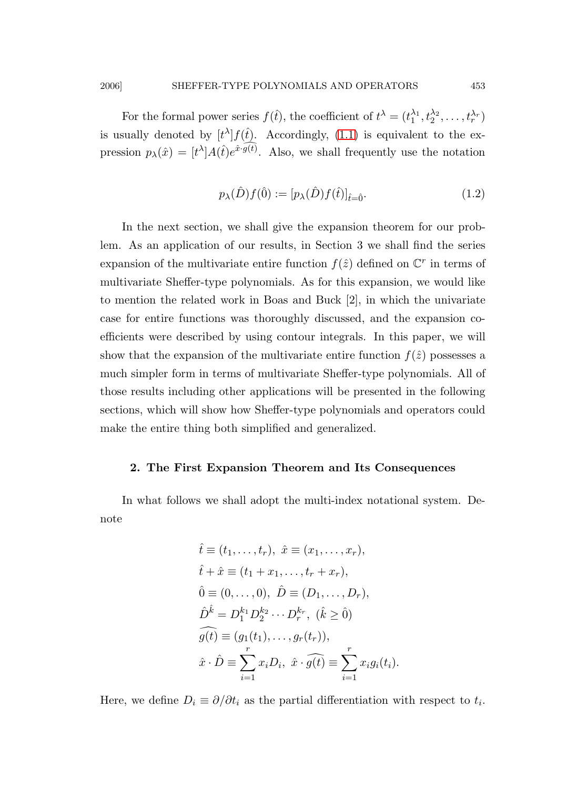For the formal power series  $f(\hat{t})$ , the coefficient of  $t^{\lambda} = (t_1^{\lambda_1}, t_2^{\lambda_2}, \dots, t_r^{\lambda_r})$ is usually denoted by  $[t^{\lambda}] f(\hat{t})$ . Accordingly, [\(1.1\)](#page-1-0) is equivalent to the expression  $p_{\lambda}(\hat{x}) = [t^{\lambda}] A(\hat{t}) e^{\hat{x} \cdot \hat{g(\hat{t})}}$ . Also, we shall frequently use the notation

$$
p_{\lambda}(\hat{D})f(\hat{0}) := [p_{\lambda}(\hat{D})f(\hat{t})]_{\hat{t} = \hat{0}}.
$$
\n(1.2)

In the next section, we shall give the expansion theorem for our problem. As an application of our results, in Section 3 we shall find the series expansion of the multivariate entire function  $f(\hat{z})$  defined on  $\mathbb{C}^r$  in terms of multivariate Sheffer-type polynomials. As for this expansion, we would like to mention the related work in Boas and Buck [2], in which the univariate case for entire functions was thoroughly discussed, and the expansion coefficients were described by using contour integrals. In this paper, we will show that the expansion of the multivariate entire function  $f(\hat{z})$  possesses a much simpler form in terms of multivariate Sheffer-type polynomials. All of those results including other applications will be presented in the following sections, which will show how Sheffer-type polynomials and operators could make the entire thing both simplified and generalized.

### 2. The First Expansion Theorem and Its Consequences

In what follows we shall adopt the multi-index notational system. Denote

$$
\hat{t} \equiv (t_1, ..., t_r), \ \hat{x} \equiv (x_1, ..., x_r), \n\hat{t} + \hat{x} \equiv (t_1 + x_1, ..., t_r + x_r), \n\hat{0} \equiv (0, ..., 0), \ \hat{D} \equiv (D_1, ..., D_r), \n\hat{D}^{\hat{k}} = D_1^{k_1} D_2^{k_2} \cdots D_r^{k_r}, \ (\hat{k} \ge 0) \n\hat{g}(t) \equiv (g_1(t_1), ..., g_r(t_r)), \n\hat{x} \cdot \hat{D} \equiv \sum_{i=1}^r x_i D_i, \ \hat{x} \cdot \hat{g}(t) \equiv \sum_{i=1}^r x_i g_i(t_i).
$$

Here, we define  $D_i \equiv \partial/\partial t_i$  as the partial differentiation with respect to  $t_i$ .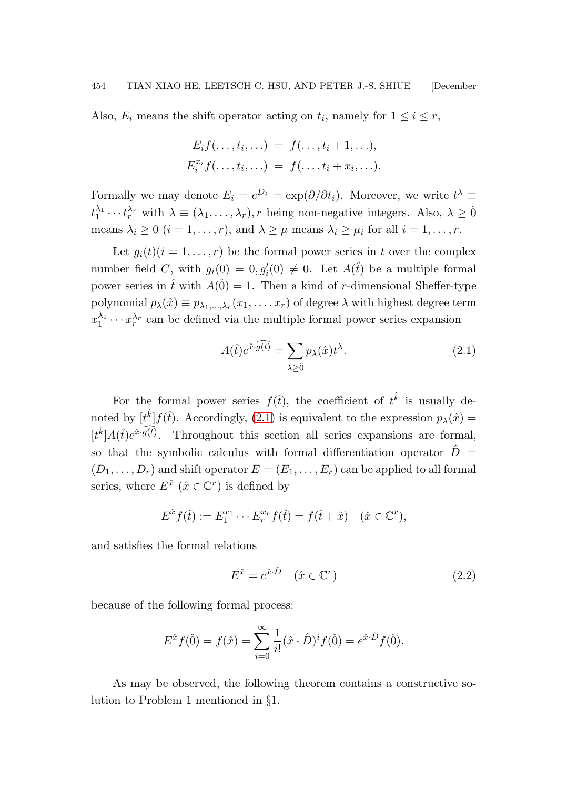Also,  $E_i$  means the shift operator acting on  $t_i$ , namely for  $1 \leq i \leq r$ ,

$$
E_i f(\ldots, t_i, \ldots) = f(\ldots, t_i + 1, \ldots),
$$
  

$$
E_i^{x_i} f(\ldots, t_i, \ldots) = f(\ldots, t_i + x_i, \ldots).
$$

Formally we may denote  $E_i = e^{D_i} = \exp(\partial/\partial t_i)$ . Moreover, we write  $t^{\lambda} \equiv$  $t_1^{\lambda_1}\cdots t_r^{\lambda_r}$  with  $\lambda \equiv (\lambda_1,\ldots,\lambda_r), r$  being non-negative integers. Also,  $\lambda \geq 0$ means  $\lambda_i \geq 0$   $(i = 1, \ldots, r)$ , and  $\lambda \geq \mu$  means  $\lambda_i \geq \mu_i$  for all  $i = 1, \ldots, r$ .

Let  $g_i(t)(i = 1, \ldots, r)$  be the formal power series in t over the complex number field C, with  $g_i(0) = 0, g'_i(0) \neq 0$ . Let  $A(\hat{t})$  be a multiple formal power series in  $\hat{t}$  with  $A(\hat{0}) = 1$ . Then a kind of r-dimensional Sheffer-type polynomial  $p_{\lambda}(\hat{x}) \equiv p_{\lambda_1,\dots,\lambda_r}(x_1,\dots,x_r)$  of degree  $\lambda$  with highest degree term  $x_1^{\lambda_1}$  $x_1^{\lambda_1} \cdots x_r^{\lambda_r}$  can be defined via the multiple formal power series expansion

<span id="page-3-0"></span>
$$
A(\hat{t})e^{\hat{x}\cdot\widehat{g(t)}} = \sum_{\lambda\geq\hat{0}} p_{\lambda}(\hat{x})t^{\lambda}.
$$
 (2.1)

For the formal power series  $f(\hat{t})$ , the coefficient of  $t^{\hat{k}}$  is usually denoted by  $[t^{\hat{k}}]f(\hat{t})$ . Accordingly, [\(2.1\)](#page-3-0) is equivalent to the expression  $p_{\lambda}(\hat{x}) =$  $[t^{\hat{k}}]A(\hat{t})e^{\hat{x}\cdot\widehat{g(t)}}$ . Throughout this section all series expansions are formal, so that the symbolic calculus with formal differentiation operator  $\ddot{D}$  =  $(D_1, \ldots, D_r)$  and shift operator  $E = (E_1, \ldots, E_r)$  can be applied to all formal series, where  $E^{\hat{x}}$   $(\hat{x} \in \mathbb{C}^r)$  is defined by

$$
E^{\hat{x}}f(\hat{t}) := E_1^{x_1} \cdots E_r^{x_r}f(\hat{t}) = f(\hat{t} + \hat{x}) \quad (\hat{x} \in \mathbb{C}^r),
$$

and satisfies the formal relations

<span id="page-3-1"></span>
$$
E^{\hat{x}} = e^{\hat{x} \cdot \hat{D}} \quad (\hat{x} \in \mathbb{C}^r) \tag{2.2}
$$

because of the following formal process:

$$
E^{\hat{x}}f(\hat{0}) = f(\hat{x}) = \sum_{i=0}^{\infty} \frac{1}{i!} (\hat{x} \cdot \hat{D})^i f(\hat{0}) = e^{\hat{x} \cdot \hat{D}} f(\hat{0}).
$$

As may be observed, the following theorem contains a constructive solution to Problem 1 mentioned in §1.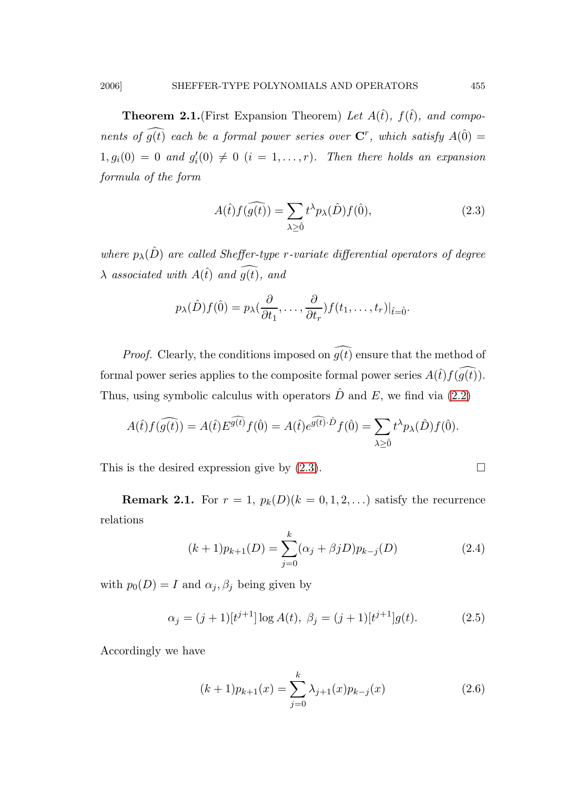**Theorem 2.1.**(First Expansion Theorem) Let  $A(\hat{t})$ ,  $f(\hat{t})$ , and components of  $g(t)$  each be a formal power series over  $\mathbf{C}^r$ , which satisfy  $A(\hat{0}) =$  $1, g_i(0) = 0$  and  $g'_i(0) \neq 0$   $(i = 1, ..., r)$ . Then there holds an expansion formula of the form

<span id="page-4-0"></span>
$$
A(\hat{t})f(\widehat{g(t)}) = \sum_{\lambda \ge \hat{0}} t^{\lambda} p_{\lambda}(\hat{D}) f(\hat{0}),
$$
\n(2.3)

where  $p_{\lambda}(\hat{D})$  are called Sheffer-type r-variate differential operators of degree  $\lambda$  associated with  $A(\hat{t})$  and  $\widehat{g(t)}$ , and

$$
p_{\lambda}(\hat{D})f(\hat{0})=p_{\lambda}(\frac{\partial}{\partial t_1},\ldots,\frac{\partial}{\partial t_r})f(t_1,\ldots,t_r)|_{\hat{t}=\hat{0}}.
$$

*Proof.* Clearly, the conditions imposed on  $\widehat{g(t)}$  ensure that the method of formal power series applies to the composite formal power series  $A(\hat{t})f(g(\hat{t}))$ . Thus, using symbolic calculus with operators  $\hat{D}$  and E, we find via [\(2.2\)](#page-3-1)

$$
A(\hat{t})f(\widehat{g(t)}) = A(\hat{t})E^{\widehat{g(t)}}f(\hat{0}) = A(\hat{t})e^{\widehat{g(t)}\cdot\hat{D}}f(\hat{0}) = \sum_{\lambda \ge \hat{0}} t^{\lambda}p_{\lambda}(\hat{D})f(\hat{0}).
$$

This is the desired expression give by  $(2.3)$ .

**Remark 2.1.** For  $r = 1$ ,  $p_k(D)(k = 0, 1, 2, ...)$  satisfy the recurrence relations

<span id="page-4-3"></span><span id="page-4-2"></span>
$$
(k+1)p_{k+1}(D) = \sum_{j=0}^{k} (\alpha_j + \beta_j D)p_{k-j}(D)
$$
 (2.4)

with  $p_0(D) = I$  and  $\alpha_j, \beta_j$  being given by

$$
\alpha_j = (j+1)[t^{j+1}] \log A(t), \ \beta_j = (j+1)[t^{j+1}]g(t). \tag{2.5}
$$

Accordingly we have

<span id="page-4-1"></span>
$$
(k+1)p_{k+1}(x) = \sum_{j=0}^{k} \lambda_{j+1}(x)p_{k-j}(x)
$$
\n(2.6)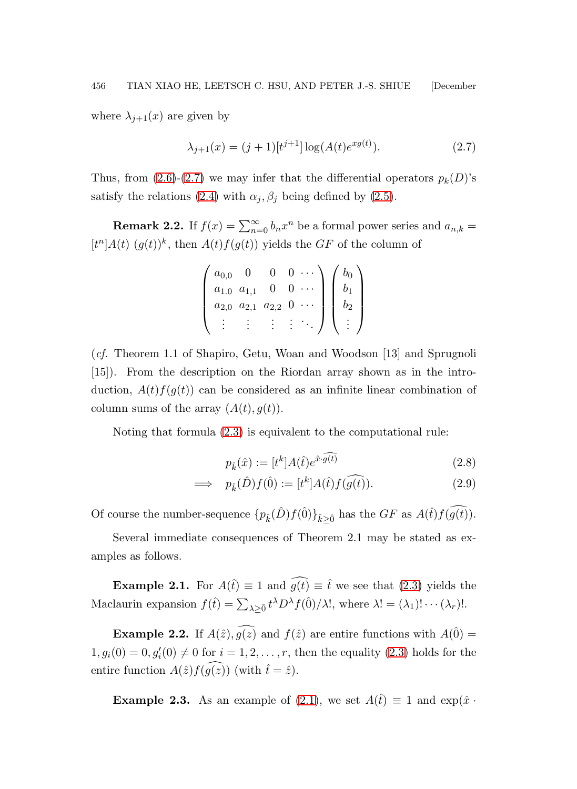where  $\lambda_{j+1}(x)$  are given by

<span id="page-5-0"></span>
$$
\lambda_{j+1}(x) = (j+1)[t^{j+1}] \log(A(t)e^{x g(t)}).
$$
 (2.7)

Thus, from  $(2.6)-(2.7)$  $(2.6)-(2.7)$  we may infer that the differential operators  $p_k(D)$ 's satisfy the relations [\(2.4\)](#page-4-2) with  $\alpha_j, \beta_j$  being defined by [\(2.5\)](#page-4-3).

**Remark 2.2.** If  $f(x) = \sum_{n=0}^{\infty} b_n x^n$  be a formal power series and  $a_{n,k} =$  $[t<sup>n</sup>]A(t)$   $(g(t))<sup>k</sup>$ , then  $A(t)f(g(t))$  yields the GF of the column of

| $a_{0,0}$ |           |           |  |  |
|-----------|-----------|-----------|--|--|
| $a_{1.0}$ | $a_{1,1}$ |           |  |  |
| $a_{2,0}$ | $a_{2,1}$ | $a_{2,2}$ |  |  |
|           |           | ٠         |  |  |

(cf. Theorem 1.1 of Shapiro, Getu, Woan and Woodson [13] and Sprugnoli [15]). From the description on the Riordan array shown as in the introduction,  $A(t)f(g(t))$  can be considered as an infinite linear combination of column sums of the array  $(A(t), g(t))$ .

Noting that formula [\(2.3\)](#page-4-0) is equivalent to the computational rule:

$$
p_{\hat{k}}(\hat{x}) := [t^k]A(\hat{t})e^{\hat{x}\cdot\widehat{g(t)}}\tag{2.8}
$$

$$
\implies p_{\hat{k}}(\hat{D})f(\hat{0}) := [t^k]A(\hat{t})f(\widehat{g(t)}).
$$
\n(2.9)

Of course the number-sequence  $\{p_{\hat{k}}(\hat{D})f(\hat{0})\}_{\hat{k}\geq \hat{0}}$  has the GF as  $A(\hat{t})f(g(\hat{t}))$ .

Several immediate consequences of Theorem 2.1 may be stated as examples as follows.

**Example 2.1.** For  $A(\hat{t}) \equiv 1$  and  $\widehat{g(t)} \equiv \hat{t}$  we see that [\(2.3\)](#page-4-0) yields the Maclaurin expansion  $f(\hat{t}) = \sum_{\lambda \geq \hat{0}} t^{\lambda} D^{\lambda} f(\hat{0})/\lambda!$ , where  $\lambda! = (\lambda_1)! \cdots (\lambda_r)!$ .

**Example 2.2.** If  $A(\hat{z}), \widehat{g(z)}$  and  $f(\hat{z})$  are entire functions with  $A(\hat{0}) =$  $1, g_i(0) = 0, g'_i(0) \neq 0$  for  $i = 1, 2, ..., r$ , then the equality [\(2.3\)](#page-4-0) holds for the entire function  $A(\hat{z})f(\widehat{g(z)})$  (with  $\hat{t}=\hat{z}$ ).

**Example 2.3.** As an example of [\(2.1\)](#page-3-0), we set  $A(t) \equiv 1$  and  $\exp(\hat{x} \cdot \hat{z})$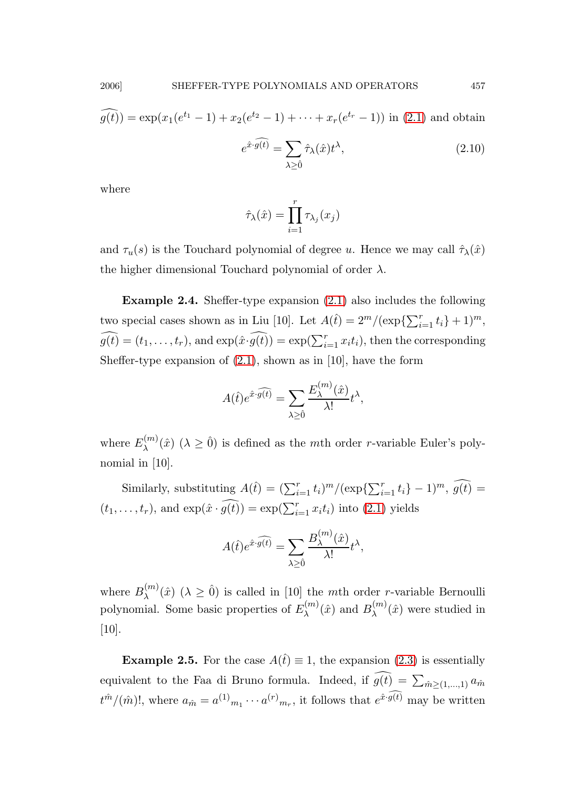$$
\widehat{g(t)} = \exp(x_1(e^{t_1} - 1) + x_2(e^{t_2} - 1) + \dots + x_r(e^{t_r} - 1)) \text{ in (2.1) and obtain}
$$

$$
e^{\hat{x} \cdot \widehat{g(t)}} = \sum_{\lambda \ge 0} \hat{\tau}_{\lambda}(\hat{x}) t^{\lambda}, \tag{2.10}
$$

where

$$
\hat{\tau}_{\lambda}(\hat{x}) = \prod_{i=1}^{r} \tau_{\lambda_j}(x_j)
$$

and  $\tau_u(s)$  is the Touchard polynomial of degree u. Hence we may call  $\hat{\tau}_\lambda(\hat{x})$ the higher dimensional Touchard polynomial of order  $\lambda$ .

Example 2.4. Sheffer-type expansion [\(2.1\)](#page-3-0) also includes the following two special cases shown as in Liu [10]. Let  $A(\hat{t}) = 2^m/(\exp{\sum_{i=1}^r t_i} + 1)^m$ ,  $g(t) = (t_1, \ldots, t_r)$ , and  $\exp(\hat{x} \cdot \hat{g}(t)) = \exp(\sum_{i=1}^r x_i t_i)$ , then the corresponding Sheffer-type expansion of  $(2.1)$ , shown as in [10], have the form

$$
A(\hat{t})e^{\hat{x}\cdot\widehat{g(t)}} = \sum_{\lambda\geq\hat{0}}\frac{E_{\lambda}^{(m)}(\hat{x})}{\lambda!}t^{\lambda},
$$

where  $E_{\lambda}^{(m)}$  $\lambda^{(m)}(\hat{x})$  ( $\lambda \geq 0$ ) is defined as the *mth* order *r*-variable Euler's polynomial in [10].

Similarly, substituting  $A(\hat{t}) = (\sum_{i=1}^r t_i)^m/(\exp{\{\sum_{i=1}^r t_i\}} - 1)^m$ ,  $g(\hat{t}) =$  $(t_1, \ldots, t_r)$ , and  $\exp(\hat{x} \cdot \hat{g}(t)) = \exp(\sum_{i=1}^r x_i t_i)$  into [\(2.1\)](#page-3-0) yields

$$
A(\hat{t})e^{\hat{x}\cdot\widehat{g(t)}} = \sum_{\lambda\geq\hat{0}}\frac{B_{\lambda}^{(m)}(\hat{x})}{\lambda!}t^{\lambda},
$$

where  $B_{\lambda}^{(m)}$  $\lambda^{(m)}(\hat{x})$  ( $\lambda \geq 0$ ) is called in [10] the mth order *r*-variable Bernoulli polynomial. Some basic properties of  $E_{\lambda}^{(m)}$  $B_{\lambda}^{(m)}(\hat{x})$  and  $B_{\lambda}^{(m)}$  $\lambda^{(m)}(\hat{x})$  were studied in [10].

**Example 2.5.** For the case  $A(\hat{t}) \equiv 1$ , the expansion [\(2.3\)](#page-4-0) is essentially equivalent to the Faa di Bruno formula. Indeed, if  $g(t) = \sum_{\hat{m} \geq (1,\dots,1)} a_{\hat{m}}$  $t^{\hat{m}}/(\hat{m})!$ , where  $a_{\hat{m}} = a^{(1)}_{m_1} \cdots a^{(r)}_{m_r}$ , it follows that  $e^{\hat{x} \cdot \widehat{g(t)}}$  may be written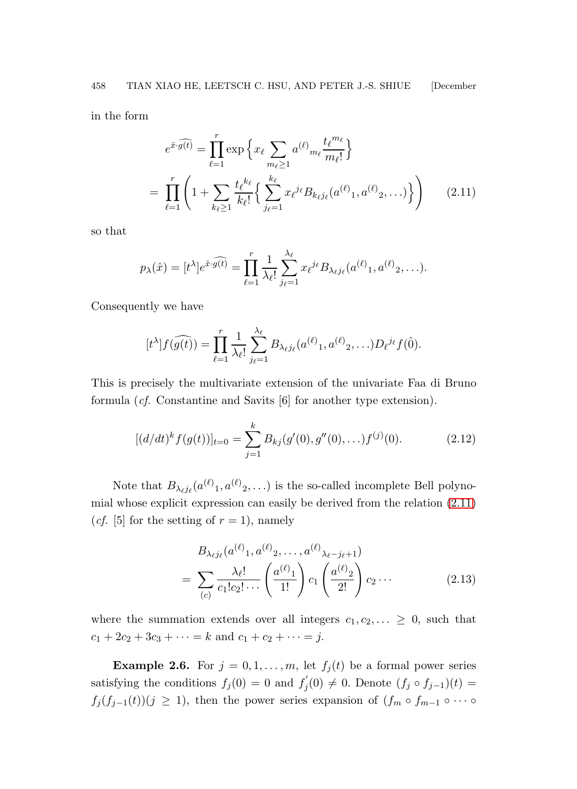in the form

<span id="page-7-0"></span>
$$
e^{\hat{x}\cdot\widehat{g(t)}} = \prod_{\ell=1}^{r} \exp\left\{x_{\ell} \sum_{m_{\ell}\geq 1} a^{(\ell)} m_{\ell} \frac{t_{\ell}^{m_{\ell}}}{m_{\ell}!} \right\}
$$

$$
= \prod_{\ell=1}^{r} \left(1 + \sum_{k_{\ell}\geq 1} \frac{t_{\ell}^{k_{\ell}}}{k_{\ell}!} \left\{ \sum_{j_{\ell}=1}^{k_{\ell}} x_{\ell}^{j_{\ell}} B_{k_{\ell}j_{\ell}}(a^{(\ell)}_{1}, a^{(\ell)}_{2}, \ldots) \right\} \right) \tag{2.11}
$$

so that

$$
p_{\lambda}(\hat{x}) = [t^{\lambda}]e^{\hat{x}\cdot\widehat{g(t)}} = \prod_{\ell=1}^r \frac{1}{\lambda_{\ell}!} \sum_{j_{\ell}=1}^{\lambda_{\ell}} x_{\ell}^{j_{\ell}} B_{\lambda_{\ell}j_{\ell}}(a^{(\ell)}_1, a^{(\ell)}_2, \ldots).
$$

Consequently we have

$$
[t^{\lambda}]f(\widehat{g(t)}) = \prod_{\ell=1}^r \frac{1}{\lambda_{\ell}!} \sum_{j_{\ell}=1}^{\lambda_{\ell}} B_{\lambda_{\ell}j_{\ell}}(a^{(\ell)}_{1}, a^{(\ell)}_{2}, \ldots) D_{\ell}^{j_{\ell}} f(\hat{0}).
$$

This is precisely the multivariate extension of the univariate Faa di Bruno formula (cf. Constantine and Savits [6] for another type extension).

$$
[(d/dt)^k f(g(t))]_{t=0} = \sum_{j=1}^k B_{kj}(g'(0), g''(0), \ldots) f^{(j)}(0). \tag{2.12}
$$

Note that  $B_{\lambda_{\ell} j_{\ell}}(a^{(\ell)}_1, a^{(\ell)}_2, \ldots)$  is the so-called incomplete Bell polynomial whose explicit expression can easily be derived from the relation [\(2.11\)](#page-7-0) (*cf.* [5] for the setting of  $r = 1$ ), namely

$$
B_{\lambda_{\ell}j_{\ell}}(a^{(\ell)}_{1}, a^{(\ell)}_{2}, \dots, a^{(\ell)}_{\lambda_{\ell}-j_{\ell}+1})
$$
  
= 
$$
\sum_{(c)} \frac{\lambda_{\ell}!}{c_{1}!c_{2}! \cdots} \left(\frac{a^{(\ell)}_{1}}{1!}\right) c_{1} \left(\frac{a^{(\ell)}_{2}}{2!}\right) c_{2} \cdots
$$
 (2.13)

where the summation extends over all integers  $c_1, c_2, \ldots \geq 0$ , such that  $c_1 + 2c_2 + 3c_3 + \cdots = k$  and  $c_1 + c_2 + \cdots = j$ .

**Example 2.6.** For  $j = 0, 1, ..., m$ , let  $f_j(t)$  be a formal power series satisfying the conditions  $f_j(0) = 0$  and  $f'_j$  $j'_j(0) \neq 0$ . Denote  $(f_j \circ f_{j-1})(t) =$  $f_j(f_{j-1}(t))(j \geq 1)$ , then the power series expansion of  $(f_m \circ f_{m-1} \circ \cdots \circ f_m)$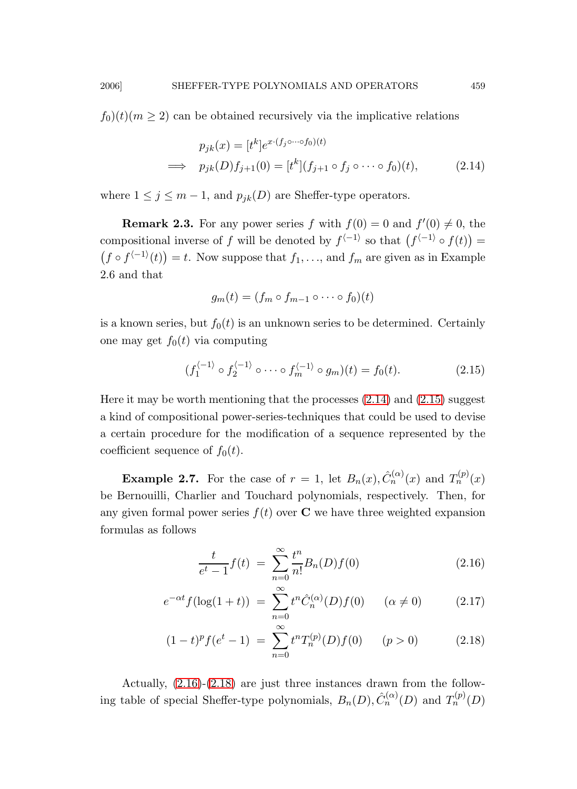$f_0(t)(m \geq 2)$  can be obtained recursively via the implicative relations

<span id="page-8-0"></span>
$$
p_{jk}(x) = [t^k]e^{x \cdot (f_j \circ \cdots \circ f_0)(t)}
$$
  
\n
$$
\implies p_{jk}(D)f_{j+1}(0) = [t^k](f_{j+1} \circ f_j \circ \cdots \circ f_0)(t),
$$
\n(2.14)

where  $1 \leq j \leq m-1$ , and  $p_{ik}(D)$  are Sheffer-type operators.

**Remark 2.3.** For any power series f with  $f(0) = 0$  and  $f'(0) \neq 0$ , the compositional inverse of f will be denoted by  $f^{\langle -1 \rangle}$  so that  $(f^{\langle -1 \rangle} \circ f(t)) =$  $(f \circ f^{-1}(t)) = t$ . Now suppose that  $f_1, \ldots$ , and  $f_m$  are given as in Example 2.6 and that

<span id="page-8-1"></span>
$$
g_m(t) = (f_m \circ f_{m-1} \circ \cdots \circ f_0)(t)
$$

is a known series, but  $f_0(t)$  is an unknown series to be determined. Certainly one may get  $f_0(t)$  via computing

$$
(f_1^{\langle -1 \rangle} \circ f_2^{\langle -1 \rangle} \circ \cdots \circ f_m^{\langle -1 \rangle} \circ g_m)(t) = f_0(t). \tag{2.15}
$$

Here it may be worth mentioning that the processes [\(2.14\)](#page-8-0) and [\(2.15\)](#page-8-1) suggest a kind of compositional power-series-techniques that could be used to devise a certain procedure for the modification of a sequence represented by the coefficient sequence of  $f_0(t)$ .

**Example 2.7.** For the case of  $r = 1$ , let  $B_n(x)$ ,  $\hat{C}_n^{(\alpha)}(x)$  and  $T_n^{(p)}(x)$ be Bernouilli, Charlier and Touchard polynomials, respectively. Then, for any given formal power series  $f(t)$  over C we have three weighted expansion formulas as follows

<span id="page-8-2"></span>
$$
\frac{t}{e^t - 1} f(t) = \sum_{n=0}^{\infty} \frac{t^n}{n!} B_n(D) f(0)
$$
\n(2.16)

$$
e^{-\alpha t} f(\log(1+t)) = \sum_{n=0}^{\infty} t^n \hat{C}_n^{(\alpha)}(D) f(0) \quad (\alpha \neq 0)
$$
 (2.17)

$$
(1-t)^{p} f(e^{t} - 1) = \sum_{n=0}^{\infty} t^{n} T_{n}^{(p)}(D) f(0) \qquad (p > 0)
$$
 (2.18)

Actually, [\(2.16\)](#page-8-2)-[\(2.18\)](#page-8-2) are just three instances drawn from the following table of special Sheffer-type polynomials,  $B_n(D), \hat{C}_n^{(\alpha)}(D)$  and  $T_n^{(p)}(D)$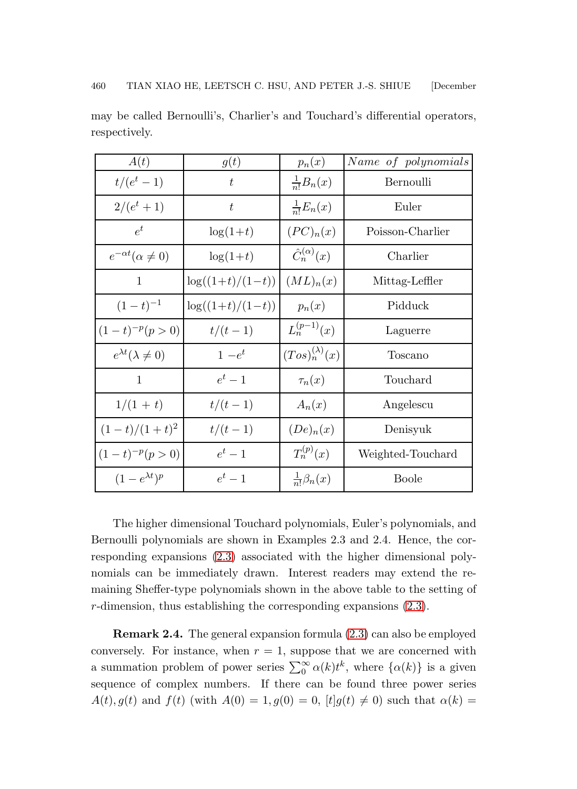| A(t)                            | g(t)                | $p_n(x)$                   | Name of polynomials |
|---------------------------------|---------------------|----------------------------|---------------------|
| $t/(e^t-1)$                     | t                   | $\frac{1}{n!}B_n(x)$       | Bernoulli           |
| $2/(e^t + 1)$                   | t                   | $\frac{1}{n!}E_n(x)$       | Euler               |
| $e^t$                           | $\log(1+t)$         | $(PC)_n(x)$                | Poisson-Charlier    |
| $e^{-\alpha t}(\alpha \neq 0)$  | $\log(1+t)$         | $\hat{C}_n^{(\alpha)}(x)$  | Charlier            |
| 1                               | $\log((1+t)/(1-t))$ | (ML) <sub>n</sub> (x)      | Mittag-Leffler      |
| $(1-t)^{-1}$                    | $\log((1+t)/(1-t))$ | $p_n(x)$                   | Pidduck             |
| $(1-t)^{-p}(p>0)$               | $t/(t-1)$           | $L_n^{(p-1)}(x)$           | Laguerre            |
| $e^{\lambda t}(\lambda \neq 0)$ | $1-e^t$             | $(Tos)_{n}^{(\lambda)}(x)$ | Toscano             |
| 1                               | $e^t-1$             | $\tau_n(x)$                | Touchard            |
| $1/(1 + t)$                     | $t/(t-1)$           | $A_n(x)$                   | Angelescu           |
| $(1-t)/(1+t)^2$                 | $t/(t-1)$           | $(De)_{n}(x)$              | Denisyuk            |
| $(1-t)^{-p}(p>0)$               | $e^t-1$             | $T_n^{(p)}(x)$             | Weighted-Touchard   |
| $(1-e^{\lambda t})^p$           | $e^t-1$             | $\frac{1}{n!} \beta_n(x)$  | <b>Boole</b>        |

may be called Bernoulli's, Charlier's and Touchard's differential operators, respectively.

The higher dimensional Touchard polynomials, Euler's polynomials, and Bernoulli polynomials are shown in Examples 2.3 and 2.4. Hence, the corresponding expansions [\(2.3\)](#page-4-0) associated with the higher dimensional polynomials can be immediately drawn. Interest readers may extend the remaining Sheffer-type polynomials shown in the above table to the setting of r-dimension, thus establishing the corresponding expansions [\(2.3\)](#page-4-0).

Remark 2.4. The general expansion formula [\(2.3\)](#page-4-0) can also be employed conversely. For instance, when  $r = 1$ , suppose that we are concerned with a summation problem of power series  $\sum_{0}^{\infty} \alpha(k) t^{k}$ , where  $\{\alpha(k)\}\$ is a given sequence of complex numbers. If there can be found three power series  $A(t), g(t)$  and  $f(t)$  (with  $A(0) = 1, g(0) = 0$ ,  $[t]g(t) \neq 0$ ) such that  $\alpha(k) =$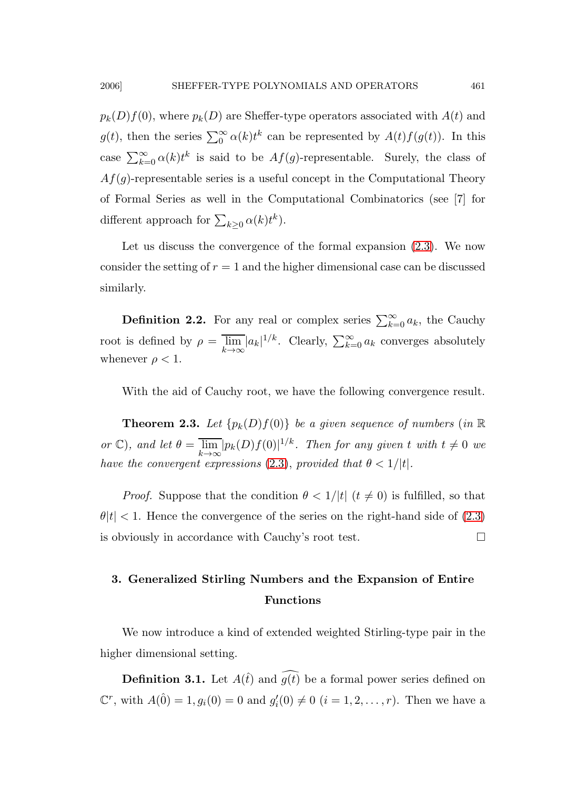$p_k(D)f(0)$ , where  $p_k(D)$  are Sheffer-type operators associated with  $A(t)$  and  $g(t)$ , then the series  $\sum_{0}^{\infty} \alpha(k) t^{k}$  can be represented by  $A(t) f(g(t))$ . In this case  $\sum_{k=0}^{\infty} \alpha(k) t^k$  is said to be  $Af(g)$ -representable. Surely, the class of  $Af(g)$ -representable series is a useful concept in the Computational Theory of Formal Series as well in the Computational Combinatorics (see [7] for different approach for  $\sum_{k\geq 0} \alpha(k)t^k$ ).

Let us discuss the convergence of the formal expansion  $(2.3)$ . We now consider the setting of  $r = 1$  and the higher dimensional case can be discussed similarly.

**Definition 2.2.** For any real or complex series  $\sum_{k=0}^{\infty} a_k$ , the Cauchy root is defined by  $\rho = \overline{\lim_{k \to \infty}} |a_k|^{1/k}$ . Clearly,  $\sum_{k=0}^{\infty} a_k$  converges absolutely whenever  $\rho < 1$ .

With the aid of Cauchy root, we have the following convergence result.

**Theorem 2.3.** Let  $\{p_k(D)f(0)\}\$  be a given sequence of numbers (in  $\mathbb R$ ) or  $\mathbb{C}$ ), and let  $\theta = \overline{\lim_{k \to \infty}} |p_k(D)f(0)|^{1/k}$ . Then for any given t with  $t \neq 0$  we have the convergent expressions [\(2.3\)](#page-4-0), provided that  $\theta < 1/|t|$ .

*Proof.* Suppose that the condition  $\theta < 1/|t|$  ( $t \neq 0$ ) is fulfilled, so that  $\theta|t| < 1$ . Hence the convergence of the series on the right-hand side of [\(2.3\)](#page-4-0) is obviously in accordance with Cauchy's root test.

# 3. Generalized Stirling Numbers and the Expansion of Entire Functions

We now introduce a kind of extended weighted Stirling-type pair in the higher dimensional setting.

**Definition 3.1.** Let  $A(t)$  and  $\widehat{g(t)}$  be a formal power series defined on  $\mathbb{C}^r$ , with  $A(\hat{0}) = 1, g_i(0) = 0$  and  $g'_i(0) \neq 0$   $(i = 1, 2, ..., r)$ . Then we have a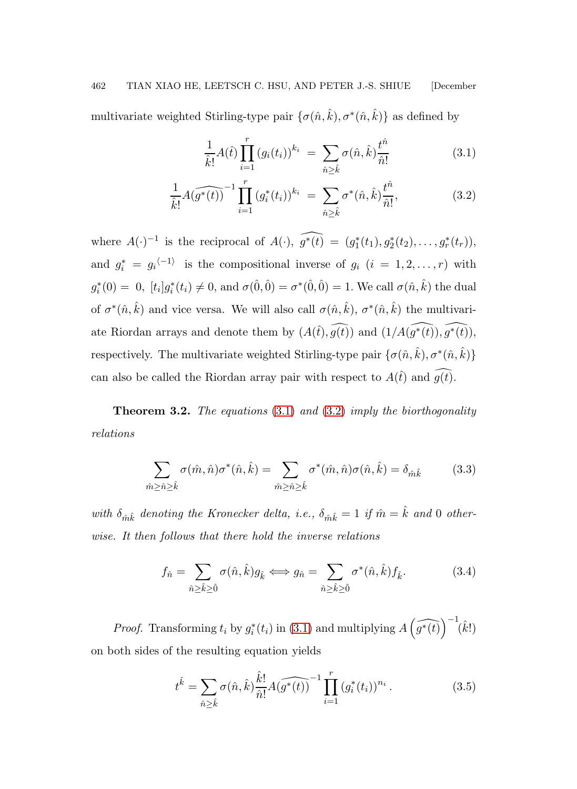multivariate weighted Stirling-type pair  $\{\sigma(\hat{n}, \hat{k}), \sigma^*(\hat{n}, \hat{k})\}$  as defined by

<span id="page-11-0"></span>
$$
\frac{1}{\hat{k}!}A(\hat{t})\prod_{i=1}^{r}(g_i(t_i))^{k_i} = \sum_{\hat{n}\geq \hat{k}}\sigma(\hat{n},\hat{k})\frac{t^{\hat{n}}}{\hat{n}!}
$$
(3.1)

$$
\frac{1}{\hat{k}!} \widehat{A(g^*(t))}^{-1} \prod_{i=1}^r (g_i^*(t_i))^{k_i} = \sum_{\hat{n} \ge \hat{k}} \sigma^*(\hat{n}, \hat{k}) \frac{t^{\hat{n}}}{\hat{n}!},\tag{3.2}
$$

where  $A(\cdot)^{-1}$  is the reciprocal of  $A(\cdot)$ ,  $\widehat{g^*(t)} = (g_1^*(t_1), g_2^*(t_2), \ldots, g_r^*(t_r)),$ and  $g_i^* = g_i^{-1}$  is the compositional inverse of  $g_i$   $(i = 1, 2, ..., r)$  with  $g_i^*(0) = 0$ ,  $[t_i]g_i^*(t_i) \neq 0$ , and  $\sigma(\hat{0}, \hat{0}) = \sigma^*(\hat{0}, \hat{0}) = 1$ . We call  $\sigma(\hat{n}, \hat{k})$  the dual of  $\sigma^*(\hat{n}, \hat{k})$  and vice versa. We will also call  $\sigma(\hat{n}, \hat{k}), \sigma^*(\hat{n}, \hat{k})$  the multivariate Riordan arrays and denote them by  $(A(\hat{t}), \widehat{g(t)})$  and  $(1/A(\widehat{g^*(t)}), \widehat{g^*(t)})$ , respectively. The multivariate weighted Stirling-type pair  $\{\sigma(\hat{n}, \hat{k}), \sigma^*(\hat{n}, \hat{k})\}$ can also be called the Riordan array pair with respect to  $A(\hat{t})$  and  $\widehat{g(t)}$ .

**Theorem 3.2.** The equations  $(3.1)$  and  $(3.2)$  imply the biorthogonality relations

<span id="page-11-1"></span>
$$
\sum_{\hat{m}\geq\hat{n}\geq\hat{k}}\sigma(\hat{m},\hat{n})\sigma^*(\hat{n},\hat{k})=\sum_{\hat{m}\geq\hat{n}\geq\hat{k}}\sigma^*(\hat{m},\hat{n})\sigma(\hat{n},\hat{k})=\delta_{\hat{m}\hat{k}}\tag{3.3}
$$

with  $\delta_{\hat{m}\hat{k}}$  denoting the Kronecker delta, i.e.,  $\delta_{\hat{m}\hat{k}} = 1$  if  $\hat{m} = \hat{k}$  and 0 otherwise. It then follows that there hold the inverse relations

<span id="page-11-2"></span>
$$
f_{\hat{n}} = \sum_{\hat{n}\geq \hat{k}\geq \hat{0}} \sigma(\hat{n}, \hat{k}) g_{\hat{k}} \Longleftrightarrow g_{\hat{n}} = \sum_{\hat{n}\geq \hat{k}\geq \hat{0}} \sigma^*(\hat{n}, \hat{k}) f_{\hat{k}}.
$$
 (3.4)

*Proof.* Transforming  $t_i$  by  $g_i^*(t_i)$  in [\(3.1\)](#page-11-0) and multiplying  $\widehat{A(g^*(t))}^{-1}(\hat{k}!)$ on both sides of the resulting equation yields

$$
t^{\hat{k}} = \sum_{\hat{n}\geq \hat{k}} \sigma(\hat{n}, \hat{k}) \frac{\hat{k}!}{\hat{n}!} A(\widehat{g^*(t)})^{-1} \prod_{i=1}^r (g_i^*(t_i))^{n_i} . \tag{3.5}
$$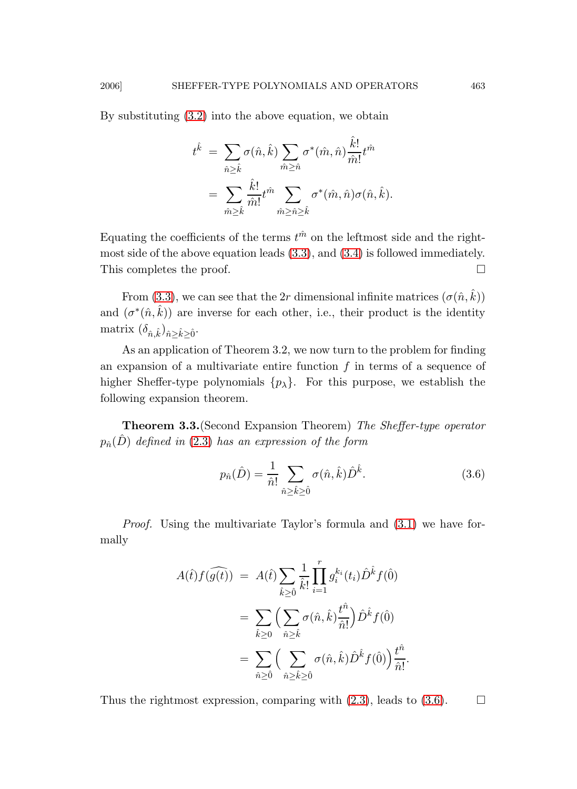By substituting [\(3.2\)](#page-11-0) into the above equation, we obtain

$$
\begin{aligned} t^{\hat k} \ & = \ & \sum_{\hat n \geq \hat k} \sigma(\hat n, \hat k) \sum_{\hat m \geq \hat n} \sigma^*(\hat m, \hat n) \frac{\hat k!}{\hat m!} t^{\hat m} \\ & = \ & \sum_{\hat m \geq \hat k} \frac{\hat k!}{\hat m!} t^{\hat m} \sum_{\hat m \geq \hat n \geq \hat k} \sigma^*(\hat m, \hat n) \sigma(\hat n, \hat k). \end{aligned}
$$

Equating the coefficients of the terms  $t^{\hat{m}}$  on the leftmost side and the rightmost side of the above equation leads [\(3.3\)](#page-11-1), and [\(3.4\)](#page-11-2) is followed immediately. This completes the proof.

From [\(3.3\)](#page-11-1), we can see that the 2r dimensional infinite matrices  $(\sigma(\hat{n}, \hat{k}))$ and  $(\sigma^*(\hat{n}, \hat{k}))$  are inverse for each other, i.e., their product is the identity matrix  $(\delta_{\hat{n},\hat{k}})_{\hat{n}\geq \hat{k}\geq \hat{0}}$ .

As an application of Theorem 3.2, we now turn to the problem for finding an expansion of a multivariate entire function  $f$  in terms of a sequence of higher Sheffer-type polynomials  $\{p_{\lambda}\}\$ . For this purpose, we establish the following expansion theorem.

Theorem 3.3.(Second Expansion Theorem) The Sheffer-type operator  $p_{\hat{n}}(\hat{D})$  defined in [\(2.3\)](#page-4-0) has an expression of the form

<span id="page-12-0"></span>
$$
p_{\hat{n}}(\hat{D}) = \frac{1}{\hat{n}!} \sum_{\hat{n} \ge \hat{k} \ge 0} \sigma(\hat{n}, \hat{k}) \hat{D}^{\hat{k}}.
$$
 (3.6)

Proof. Using the multivariate Taylor's formula and [\(3.1\)](#page-11-0) we have formally

$$
A(\hat{t})f(\widehat{g(t)}) = A(\hat{t}) \sum_{\hat{k}\geq \hat{0}} \frac{1}{\hat{k}!} \prod_{i=1}^r g_i^{k_i}(t_i) \hat{D}^{\hat{k}} f(\hat{0})
$$
  

$$
= \sum_{\hat{k}\geq 0} \Big( \sum_{\hat{n}\geq \hat{k}} \sigma(\hat{n}, \hat{k}) \frac{t^{\hat{n}}}{\hat{n}!} \Big) \hat{D}^{\hat{k}} f(\hat{0})
$$
  

$$
= \sum_{\hat{n}\geq \hat{0}} \Big( \sum_{\hat{n}\geq \hat{k}\geq \hat{0}} \sigma(\hat{n}, \hat{k}) \hat{D}^{\hat{k}} f(\hat{0}) \Big) \frac{t^{\hat{n}}}{\hat{n}!}.
$$

Thus the rightmost expression, comparing with  $(2.3)$ , leads to  $(3.6)$ .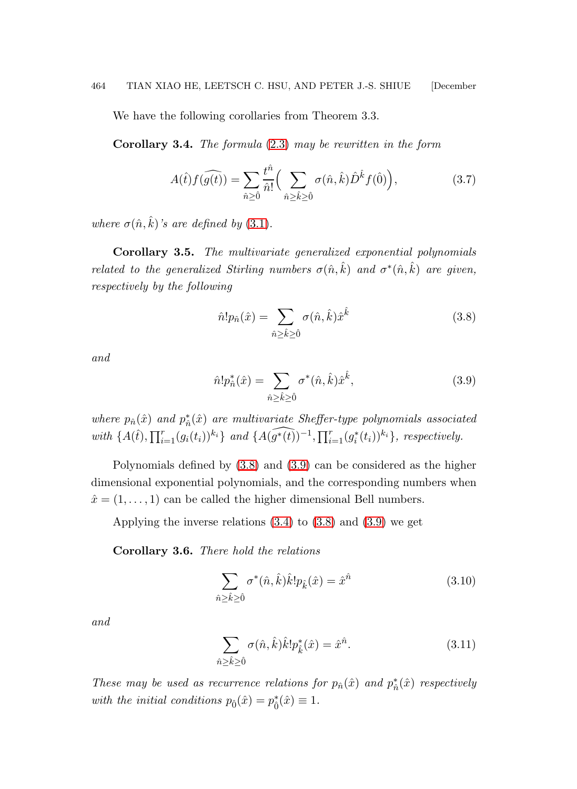We have the following corollaries from Theorem 3.3.

**Corollary 3.4.** The formula  $(2.3)$  may be rewritten in the form

<span id="page-13-2"></span>
$$
A(\hat{t})f(\widehat{g(t)}) = \sum_{\hat{n}\geq \hat{0}} \frac{t^{\hat{n}}}{\hat{n}!} \Big(\sum_{\hat{n}\geq \hat{k}\geq \hat{0}} \sigma(\hat{n},\hat{k})\hat{D}^{\hat{k}}f(\hat{0})\Big),\tag{3.7}
$$

where  $\sigma(\hat{n}, \hat{k})$ 's are defined by [\(3.1\)](#page-11-0).

Corollary 3.5. The multivariate generalized exponential polynomials related to the generalized Stirling numbers  $\sigma(\hat{n}, \hat{k})$  and  $\sigma^*(\hat{n}, \hat{k})$  are given, respectively by the following

<span id="page-13-0"></span>
$$
\hat{n}! p_{\hat{n}}(\hat{x}) = \sum_{\hat{n}\geq \hat{k}\geq \hat{0}} \sigma(\hat{n}, \hat{k}) \hat{x}^{\hat{k}} \tag{3.8}
$$

<span id="page-13-1"></span>and

$$
\hat{n}! p_{\hat{n}}^*(\hat{x}) = \sum_{\hat{n}\geq \hat{k}\geq \hat{0}} \sigma^*(\hat{n}, \hat{k}) \hat{x}^{\hat{k}}, \tag{3.9}
$$

where  $p_{\hat{n}}(\hat{x})$  and  $p_{\hat{n}}^*(\hat{x})$  are multivariate Sheffer-type polynomials associated with  $\{A(\hat{t}), \prod_{i=1}^r (g_i(t_i))^{k_i}\}$  and  $\{A(\widehat{g^*(t)})^{-1}, \prod_{i=1}^r (g_i^*(t_i))^{k_i}\}$ , respectively.

Polynomials defined by [\(3.8\)](#page-13-0) and [\(3.9\)](#page-13-1) can be considered as the higher dimensional exponential polynomials, and the corresponding numbers when  $\hat{x} = (1, \ldots, 1)$  can be called the higher dimensional Bell numbers.

Applying the inverse relations [\(3.4\)](#page-11-2) to [\(3.8\)](#page-13-0) and [\(3.9\)](#page-13-1) we get

Corollary 3.6. There hold the relations

$$
\sum_{\hat{n}\geq \hat{k}\geq \hat{0}} \sigma^*(\hat{n}, \hat{k}) \hat{k}! p_{\hat{k}}(\hat{x}) = \hat{x}^{\hat{n}} \tag{3.10}
$$

<span id="page-13-3"></span>and

$$
\sum_{\hat{n}\geq \hat{k}\geq \hat{0}} \sigma(\hat{n}, \hat{k}) \hat{k}! p_{\hat{k}}^*(\hat{x}) = \hat{x}^{\hat{n}}.
$$
\n(3.11)

These may be used as recurrence relations for  $p_{\hat{n}}(\hat{x})$  and  $p_{\hat{n}}^*(\hat{x})$  respectively with the initial conditions  $p_{\hat{0}}(\hat{x}) = p_{\hat{0}}^{*}(\hat{x}) \equiv 1$ .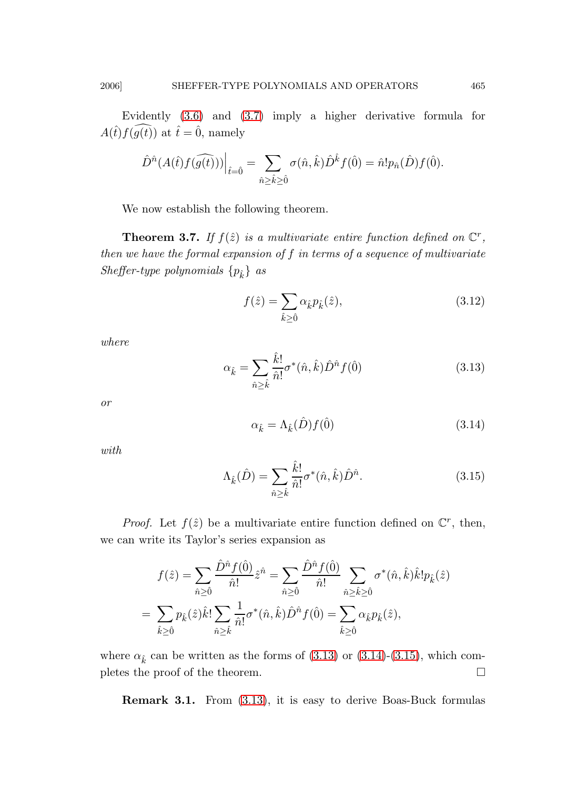Evidently [\(3.6\)](#page-12-0) and [\(3.7\)](#page-13-2) imply a higher derivative formula for  $A(\hat{t})f(\hat{g}(\hat{t}))$  at  $\hat{t}=\hat{0}$ , namely

$$
\hat{D}^{\hat{n}}(A(\hat{t})f(\widehat{g(t)}))\Big|_{\hat{t}=0} = \sum_{\hat{n}\geq \hat{k}\geq \hat{0}} \sigma(\hat{n},\hat{k})\hat{D}^{\hat{k}}f(\hat{0}) = \hat{n}!p_{\hat{n}}(\hat{D})f(\hat{0}).
$$

We now establish the following theorem.

**Theorem 3.7.** If  $f(\hat{z})$  is a multivariate entire function defined on  $\mathbb{C}^r$ , then we have the formal expansion of f in terms of a sequence of multivariate Sheffer-type polynomials  $\{p_{\hat{k}}\}$  as

<span id="page-14-3"></span>
$$
f(\hat{z}) = \sum_{\hat{k}\geq 0} \alpha_{\hat{k}} p_{\hat{k}}(\hat{z}),\tag{3.12}
$$

<span id="page-14-0"></span>where

$$
\alpha_{\hat{k}} = \sum_{\hat{n}\geq \hat{k}} \frac{\hat{k}!}{\hat{n}!} \sigma^*(\hat{n}, \hat{k}) \hat{D}^{\hat{n}} f(\hat{0}) \tag{3.13}
$$

<span id="page-14-1"></span>or

$$
\alpha_{\hat{k}} = \Lambda_{\hat{k}}(\hat{D})f(\hat{0})\tag{3.14}
$$

<span id="page-14-2"></span>with

$$
\Lambda_{\hat{k}}(\hat{D}) = \sum_{\hat{n}\geq \hat{k}} \frac{\hat{k}!}{\hat{n}!} \sigma^*(\hat{n}, \hat{k}) \hat{D}^{\hat{n}}.
$$
\n(3.15)

*Proof.* Let  $f(\hat{z})$  be a multivariate entire function defined on  $\mathbb{C}^r$ , then, we can write its Taylor's series expansion as

$$
f(\hat{z}) = \sum_{\hat{n}\geq \hat{0}} \frac{\hat{D}^{\hat{n}} f(\hat{0})}{\hat{n}!} \hat{z}^{\hat{n}} = \sum_{\hat{n}\geq \hat{0}} \frac{\hat{D}^{\hat{n}} f(\hat{0})}{\hat{n}!} \sum_{\hat{n}\geq \hat{k}\geq \hat{0}} \sigma^*(\hat{n}, \hat{k}) \hat{k}! p_{\hat{k}}(\hat{z})
$$
  
= 
$$
\sum_{\hat{k}\geq \hat{0}} p_{\hat{k}}(\hat{z}) \hat{k}! \sum_{\hat{n}\geq \hat{k}} \frac{1}{\hat{n}!} \sigma^*(\hat{n}, \hat{k}) \hat{D}^{\hat{n}} f(\hat{0}) = \sum_{\hat{k}\geq \hat{0}} \alpha_{\hat{k}} p_{\hat{k}}(\hat{z}),
$$

where  $\alpha_{\hat{k}}$  can be written as the forms of [\(3.13\)](#page-14-0) or [\(3.14\)](#page-14-1)-[\(3.15\)](#page-14-2), which completes the proof of the theorem.  $\Box$ 

Remark 3.1. From [\(3.13\)](#page-14-0), it is easy to derive Boas-Buck formulas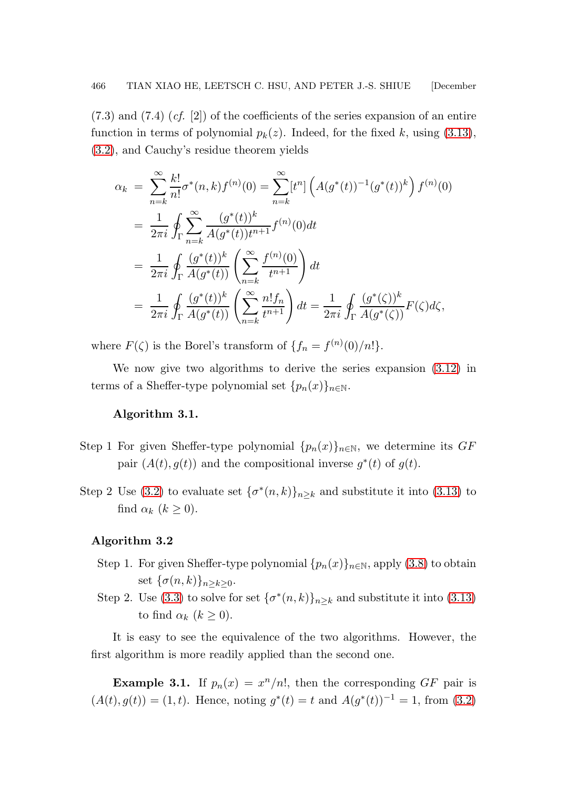$(7.3)$  and  $(7.4)$   $(cf. [2])$  of the coefficients of the series expansion of an entire function in terms of polynomial  $p_k(z)$ . Indeed, for the fixed k, using [\(3.13\)](#page-14-0), [\(3.2\)](#page-11-0), and Cauchy's residue theorem yields

$$
\alpha_k = \sum_{n=k}^{\infty} \frac{k!}{n!} \sigma^*(n, k) f^{(n)}(0) = \sum_{n=k}^{\infty} [t^n] \left( A(g^*(t))^{-1} (g^*(t))^k \right) f^{(n)}(0)
$$
  
\n
$$
= \frac{1}{2\pi i} \oint_{\Gamma} \sum_{n=k}^{\infty} \frac{(g^*(t))^k}{A(g^*(t))t^{n+1}} f^{(n)}(0) dt
$$
  
\n
$$
= \frac{1}{2\pi i} \oint_{\Gamma} \frac{(g^*(t))^k}{A(g^*(t))} \left( \sum_{n=k}^{\infty} \frac{f^{(n)}(0)}{t^{n+1}} \right) dt
$$
  
\n
$$
= \frac{1}{2\pi i} \oint_{\Gamma} \frac{(g^*(t))^k}{A(g^*(t))} \left( \sum_{n=k}^{\infty} \frac{n!f_n}{t^{n+1}} \right) dt = \frac{1}{2\pi i} \oint_{\Gamma} \frac{(g^*(\zeta))^k}{A(g^*(\zeta))} F(\zeta) d\zeta,
$$

where  $F(\zeta)$  is the Borel's transform of  $\{f_n = f^{(n)}(0)/n!\}.$ 

We now give two algorithms to derive the series expansion [\(3.12\)](#page-14-3) in terms of a Sheffer-type polynomial set  $\{p_n(x)\}_{n\in\mathbb{N}}$ .

### Algorithm 3.1.

- Step 1 For given Sheffer-type polynomial  $\{p_n(x)\}_{n\in\mathbb{N}}$ , we determine its  $GF$ pair  $(A(t), g(t))$  and the compositional inverse  $g^*(t)$  of  $g(t)$ .
- Step 2 Use [\(3.2\)](#page-11-0) to evaluate set  $\{\sigma^*(n,k)\}_{n\geq k}$  and substitute it into [\(3.13\)](#page-14-0) to find  $\alpha_k$   $(k \geq 0)$ .

### Algorithm 3.2

- Step 1. For given Sheffer-type polynomial  $\{p_n(x)\}_{n\in\mathbb{N}}$ , apply [\(3.8\)](#page-13-0) to obtain set  $\{\sigma(n,k)\}_{n\geq k\geq 0}$ .
- Step 2. Use [\(3.3\)](#page-11-1) to solve for set  $\{\sigma^*(n,k)\}_{n\geq k}$  and substitute it into [\(3.13\)](#page-14-0) to find  $\alpha_k$   $(k \geq 0)$ .

It is easy to see the equivalence of the two algorithms. However, the first algorithm is more readily applied than the second one.

**Example 3.1.** If  $p_n(x) = x^n/n!$ , then the corresponding GF pair is  $(A(t), g(t)) = (1, t)$ . Hence, noting  $g^*(t) = t$  and  $A(g^*(t))^{-1} = 1$ , from [\(3.2\)](#page-11-0)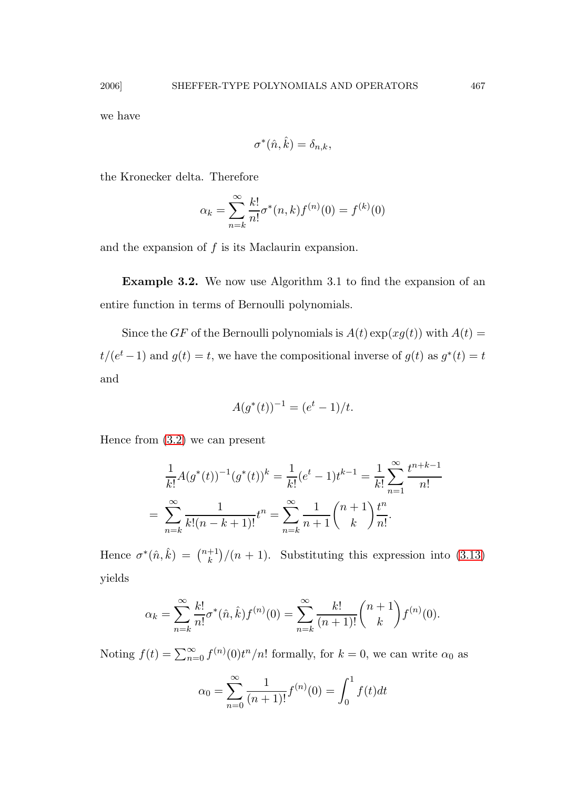we have

$$
\sigma^*(\hat{n}, \hat{k}) = \delta_{n,k},
$$

the Kronecker delta. Therefore

$$
\alpha_k = \sum_{n=k}^{\infty} \frac{k!}{n!} \sigma^*(n, k) f^{(n)}(0) = f^{(k)}(0)
$$

and the expansion of  $f$  is its Maclaurin expansion.

Example 3.2. We now use Algorithm 3.1 to find the expansion of an entire function in terms of Bernoulli polynomials.

Since the GF of the Bernoulli polynomials is  $A(t) \exp(xg(t))$  with  $A(t) =$  $t/(e^t-1)$  and  $g(t) = t$ , we have the compositional inverse of  $g(t)$  as  $g^*(t) = t$ and

$$
A(g^*(t))^{-1} = (e^t - 1)/t.
$$

Hence from [\(3.2\)](#page-11-0) we can present

$$
\frac{1}{k!}A(g^*(t))^{-1}(g^*(t))^k = \frac{1}{k!}(e^t - 1)t^{k-1} = \frac{1}{k!} \sum_{n=1}^{\infty} \frac{t^{n+k-1}}{n!}
$$

$$
= \sum_{n=k}^{\infty} \frac{1}{k!(n-k+1)!}t^n = \sum_{n=k}^{\infty} \frac{1}{n+1} \binom{n+1}{k} \frac{t^n}{n!}.
$$

Hence  $\sigma^*(\hat{n}, \hat{k}) = \binom{n+1}{k}$  $\binom{+1}{k}/(n+1)$ . Substituting this expression into [\(3.13\)](#page-14-0) yields

$$
\alpha_k = \sum_{n=k}^{\infty} \frac{k!}{n!} \sigma^*(\hat{n}, \hat{k}) f^{(n)}(0) = \sum_{n=k}^{\infty} \frac{k!}{(n+1)!} {n+1 \choose k} f^{(n)}(0).
$$

Noting  $f(t) = \sum_{n=0}^{\infty} f^{(n)}(0)t^n/n!$  formally, for  $k = 0$ , we can write  $\alpha_0$  as

$$
\alpha_0 = \sum_{n=0}^{\infty} \frac{1}{(n+1)!} f^{(n)}(0) = \int_0^1 f(t) dt
$$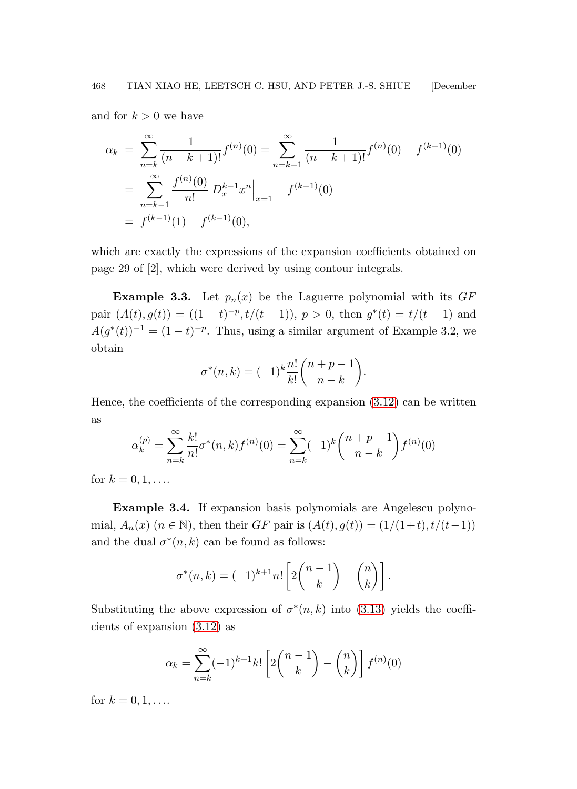and for  $k > 0$  we have

$$
\alpha_k = \sum_{n=k}^{\infty} \frac{1}{(n-k+1)!} f^{(n)}(0) = \sum_{n=k-1}^{\infty} \frac{1}{(n-k+1)!} f^{(n)}(0) - f^{(k-1)}(0)
$$
  
= 
$$
\sum_{n=k-1}^{\infty} \frac{f^{(n)}(0)}{n!} D_x^{k-1} x^n \Big|_{x=1} - f^{(k-1)}(0)
$$
  
= 
$$
f^{(k-1)}(1) - f^{(k-1)}(0),
$$

which are exactly the expressions of the expansion coefficients obtained on page 29 of [2], which were derived by using contour integrals.

**Example 3.3.** Let  $p_n(x)$  be the Laguerre polynomial with its  $GF$ pair  $(A(t), g(t)) = ((1-t)^{-p}, t/(t-1)), p > 0$ , then  $g^*(t) = t/(t-1)$  and  $A(g^*(t))^{-1} = (1-t)^{-p}$ . Thus, using a similar argument of Example 3.2, we obtain

$$
\sigma^*(n,k) = (-1)^k \frac{n!}{k!} \binom{n+p-1}{n-k}.
$$

Hence, the coefficients of the corresponding expansion  $(3.12)$  can be written as

$$
\alpha_k^{(p)} = \sum_{n=k}^{\infty} \frac{k!}{n!} \sigma^*(n,k) f^{(n)}(0) = \sum_{n=k}^{\infty} (-1)^k {n+p-1 \choose n-k} f^{(n)}(0)
$$

for  $k = 0, 1, ...$ 

Example 3.4. If expansion basis polynomials are Angelescu polynomial,  $A_n(x)$   $(n \in \mathbb{N})$ , then their GF pair is  $(A(t), g(t)) = (1/(1+t), t/(t-1))$ and the dual  $\sigma^*(n,k)$  can be found as follows:

$$
\sigma^*(n,k) = (-1)^{k+1} n! \left[ 2\binom{n-1}{k} - \binom{n}{k} \right].
$$

Substituting the above expression of  $\sigma^*(n,k)$  into [\(3.13\)](#page-14-0) yields the coefficients of expansion [\(3.12\)](#page-14-3) as

$$
\alpha_k = \sum_{n=k}^{\infty} (-1)^{k+1} k! \left[ 2 \binom{n-1}{k} - \binom{n}{k} \right] f^{(n)}(0)
$$

for  $k = 0, 1, ...$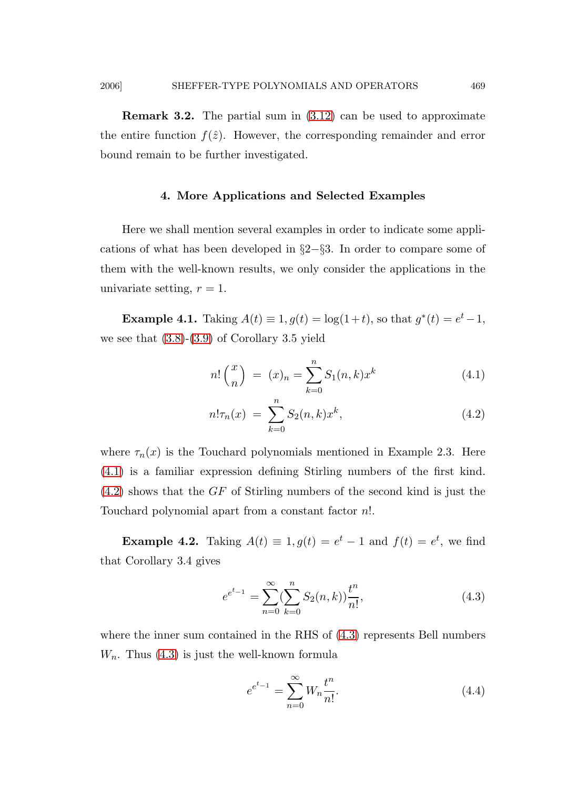Remark 3.2. The partial sum in [\(3.12\)](#page-14-3) can be used to approximate the entire function  $f(\hat{z})$ . However, the corresponding remainder and error bound remain to be further investigated.

## 4. More Applications and Selected Examples

Here we shall mention several examples in order to indicate some applications of what has been developed in §2−§3. In order to compare some of them with the well-known results, we only consider the applications in the univariate setting,  $r = 1$ .

**Example 4.1.** Taking  $A(t) \equiv 1, g(t) = \log(1+t)$ , so that  $g^*(t) = e^t - 1$ , we see that  $(3.8)-(3.9)$  $(3.8)-(3.9)$  of Corollary 3.5 yield

<span id="page-18-0"></span>
$$
n! \binom{x}{n} = (x)_n = \sum_{k=0}^{n} S_1(n,k) x^k \tag{4.1}
$$

$$
n!\tau_n(x) = \sum_{k=0}^n S_2(n,k)x^k,
$$
\n(4.2)

where  $\tau_n(x)$  is the Touchard polynomials mentioned in Example 2.3. Here [\(4.1\)](#page-18-0) is a familiar expression defining Stirling numbers of the first kind.  $(4.2)$  shows that the GF of Stirling numbers of the second kind is just the Touchard polynomial apart from a constant factor n!.

**Example 4.2.** Taking  $A(t) \equiv 1, g(t) = e^t - 1$  and  $f(t) = e^t$ , we find that Corollary 3.4 gives

<span id="page-18-1"></span>
$$
e^{e^{t-1}} = \sum_{n=0}^{\infty} (\sum_{k=0}^{n} S_2(n, k)) \frac{t^n}{n!},
$$
\n(4.3)

where the inner sum contained in the RHS of  $(4.3)$  represents Bell numbers  $W_n$ . Thus  $(4.3)$  is just the well-known formula

$$
e^{e^{t-1}} = \sum_{n=0}^{\infty} W_n \frac{t^n}{n!}.
$$
\n(4.4)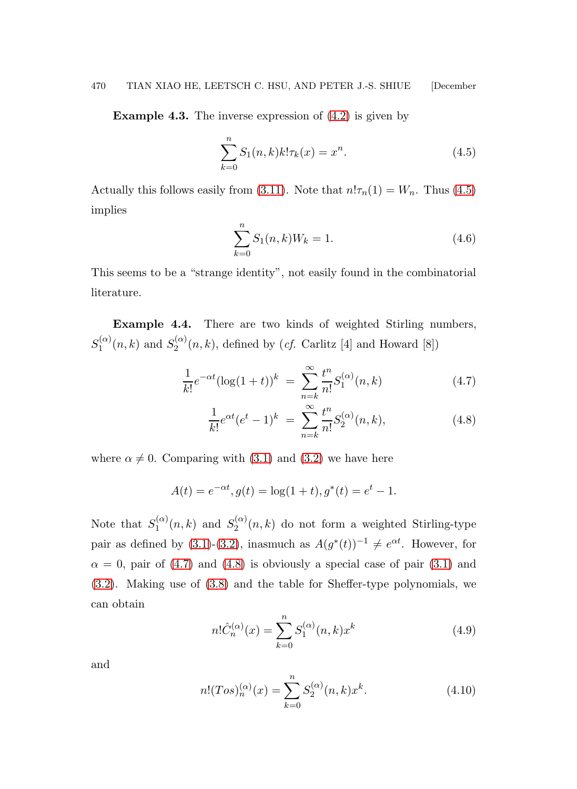**Example 4.3.** The inverse expression of  $(4.2)$  is given by

<span id="page-19-0"></span>
$$
\sum_{k=0}^{n} S_1(n,k)k!\tau_k(x) = x^n.
$$
\n(4.5)

Actually this follows easily from [\(3.11\)](#page-13-3). Note that  $n! \tau_n(1) = W_n$ . Thus [\(4.5\)](#page-19-0) implies

$$
\sum_{k=0}^{n} S_1(n,k)W_k = 1.
$$
\n(4.6)

This seems to be a "strange identity", not easily found in the combinatorial literature.

Example 4.4. There are two kinds of weighted Stirling numbers,  $S_1^{(\alpha)}$  $S_1^{(\alpha)}(n,k)$  and  $S_2^{(\alpha)}$  $\chi_2^{(\alpha)}(n,k)$ , defined by (*cf.* Carlitz [4] and Howard [8])

<span id="page-19-1"></span>
$$
\frac{1}{k!}e^{-\alpha t}(\log(1+t))^k = \sum_{n=k}^{\infty} \frac{t^n}{n!} S_1^{(\alpha)}(n,k)
$$
\n(4.7)

$$
\frac{1}{k!}e^{\alpha t}(e^t - 1)^k = \sum_{n=k}^{\infty} \frac{t^n}{n!} S_2^{(\alpha)}(n, k),
$$
\n(4.8)

where  $\alpha \neq 0$ . Comparing with [\(3.1\)](#page-11-0) and [\(3.2\)](#page-11-0) we have here

$$
A(t) = e^{-\alpha t}, g(t) = \log(1+t), g^*(t) = e^t - 1.
$$

Note that  $S_1^{(\alpha)}$  $S_1^{(\alpha)}(n,k)$  and  $S_2^{(\alpha)}$  $2^{(\alpha)}(n,k)$  do not form a weighted Stirling-type pair as defined by [\(3.1\)](#page-11-0)-[\(3.2\)](#page-11-0), inasmuch as  $A(g^*(t))^{-1} \neq e^{\alpha t}$ . However, for  $\alpha = 0$ , pair of [\(4.7\)](#page-19-1) and [\(4.8\)](#page-19-1) is obviously a special case of pair [\(3.1\)](#page-11-0) and [\(3.2\)](#page-11-0). Making use of [\(3.8\)](#page-13-0) and the table for Sheffer-type polynomials, we can obtain

$$
n! \hat{C}_n^{(\alpha)}(x) = \sum_{k=0}^n S_1^{(\alpha)}(n,k)x^k
$$
\n(4.9)

and

$$
n!(Tos)^{(\alpha)}_n(x) = \sum_{k=0}^n S_2^{(\alpha)}(n,k)x^k.
$$
 (4.10)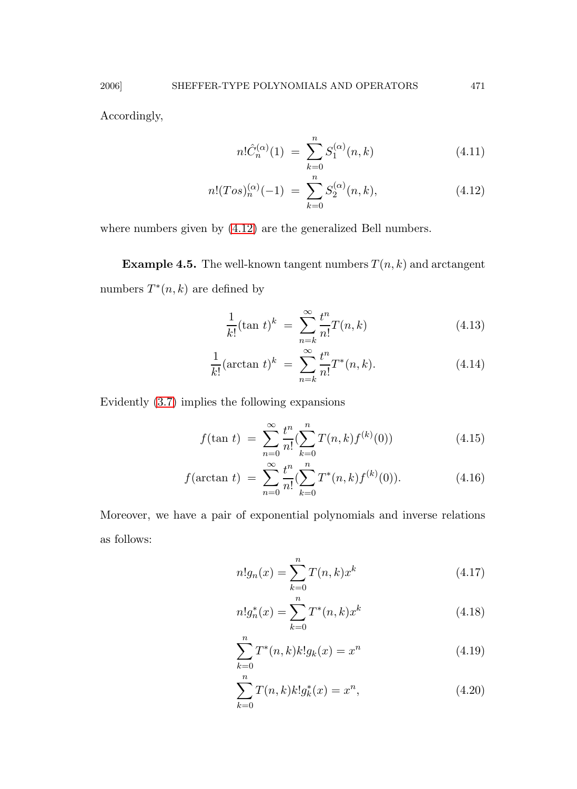Accordingly,

<span id="page-20-0"></span>
$$
n! \hat{C}_n^{(\alpha)}(1) = \sum_{k=0}^n S_1^{(\alpha)}(n,k)
$$
 (4.11)

$$
n!(Tos)n(\alpha)(-1) = \sum_{k=0}^{n} S_2^{(\alpha)}(n,k),
$$
 (4.12)

where numbers given by [\(4.12\)](#page-20-0) are the generalized Bell numbers.

**Example 4.5.** The well-known tangent numbers  $T(n, k)$  and arctangent numbers  $T^*(n,k)$  are defined by

$$
\frac{1}{k!}(\tan t)^k = \sum_{n=k}^{\infty} \frac{t^n}{n!} T(n,k)
$$
\n(4.13)

$$
\frac{1}{k!}(\arctan t)^k = \sum_{n=k}^{\infty} \frac{t^n}{n!} T^*(n, k). \tag{4.14}
$$

Evidently [\(3.7\)](#page-13-2) implies the following expansions

$$
f(\tan t) = \sum_{n=0}^{\infty} \frac{t^n}{n!} \left( \sum_{k=0}^n T(n,k) f^{(k)}(0) \right)
$$
 (4.15)

$$
f(\arctan t) = \sum_{n=0}^{\infty} \frac{t^n}{n!} \left(\sum_{k=0}^n T^*(n,k) f^{(k)}(0)\right).
$$
 (4.16)

Moreover, we have a pair of exponential polynomials and inverse relations as follows:

$$
n!g_n(x) = \sum_{k=0}^{n} T(n,k)x^k
$$
\n(4.17)

$$
n!g_n^*(x) = \sum_{k=0}^n T^*(n,k)x^k
$$
\n(4.18)

$$
\sum_{k=0}^{n} T^{*}(n,k)k!g_{k}(x) = x^{n}
$$
\n(4.19)

$$
\sum_{k=0}^{n} T(n,k)k!g_k^*(x) = x^n,
$$
\n(4.20)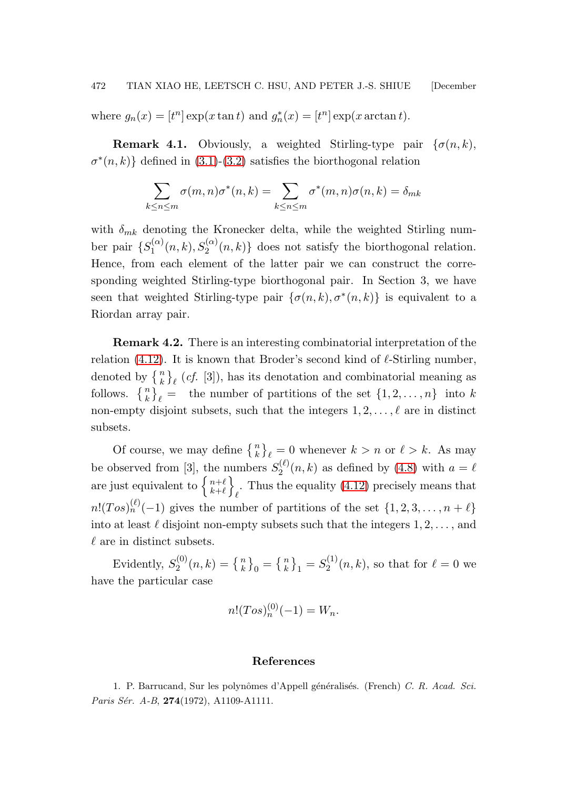where  $g_n(x) = [t^n] \exp(x \tan t)$  and  $g_n^*(x) = [t^n] \exp(x \arctan t)$ .

**Remark 4.1.** Obviously, a weighted Stirling-type pair  $\{\sigma(n,k),\sigma(n,k)\}$  $\sigma^*(n,k)$  defined in [\(3.1\)](#page-11-0)-[\(3.2\)](#page-11-0) satisfies the biorthogonal relation

$$
\sum_{k \le n \le m} \sigma(m, n)\sigma^*(n, k) = \sum_{k \le n \le m} \sigma^*(m, n)\sigma(n, k) = \delta_{mk}
$$

with  $\delta_{mk}$  denoting the Kronecker delta, while the weighted Stirling number pair  $\{S_1^{(\alpha)}\}$  $S_1^{(\alpha)}(n,k), S_2^{(\alpha)}(n,k)\}$  does not satisfy the biorthogonal relation. Hence, from each element of the latter pair we can construct the corresponding weighted Stirling-type biorthogonal pair. In Section 3, we have seen that weighted Stirling-type pair  $\{\sigma(n,k), \sigma^*(n,k)\}\$ is equivalent to a Riordan array pair.

Remark 4.2. There is an interesting combinatorial interpretation of the relation [\(4.12\)](#page-20-0). It is known that Broder's second kind of  $\ell$ -Stirling number, denoted by  $\{n\}\ell$  (*cf.* [3]), has its denotation and combinatorial meaning as follows.  $\{n\}\neq$  the number of partitions of the set  $\{1, 2, ..., n\}$  into k non-empty disjoint subsets, such that the integers  $1, 2, \ldots, \ell$  are in distinct subsets.

Of course, we may define  $\{n\}\ell = 0$  whenever  $k > n$  or  $\ell > k$ . As may be observed from [3], the numbers  $S_2^{(\ell)}$  $Q_2^{(k)}(n,k)$  as defined by [\(4.8\)](#page-19-1) with  $a = \ell$ are just equivalent to  $\begin{cases} n+\ell \\ k+\ell \end{cases}$  $k+\ell$  $\mathfrak{d}$ . Thus the equality [\(4.12\)](#page-20-0) precisely means that  $n!(Tos)^{(\ell)}_n(-1)$  gives the number of partitions of the set  $\{1,2,3,\ldots,n+\ell\}$ into at least  $\ell$  disjoint non-empty subsets such that the integers  $1, 2, \ldots$ , and  $\ell$  are in distinct subsets.

Evidently,  $S_2^{(0)}$  $S_2^{(0)}(n,k) = \left\{ {n \atop k} \right\}_0 = \left\{ {n \atop k} \right\}_1 = S_2^{(1)}$  $\chi_2^{(1)}(n,k)$ , so that for  $\ell=0$  we have the particular case

$$
n!(Tos)_{n}^{(0)}(-1) = W_n.
$$

### References

1. P. Barrucand, Sur les polynômes d'Appell généralisés. (French) C. R. Acad. Sci. Paris Sér. A-B, 274(1972), A1109-A1111.